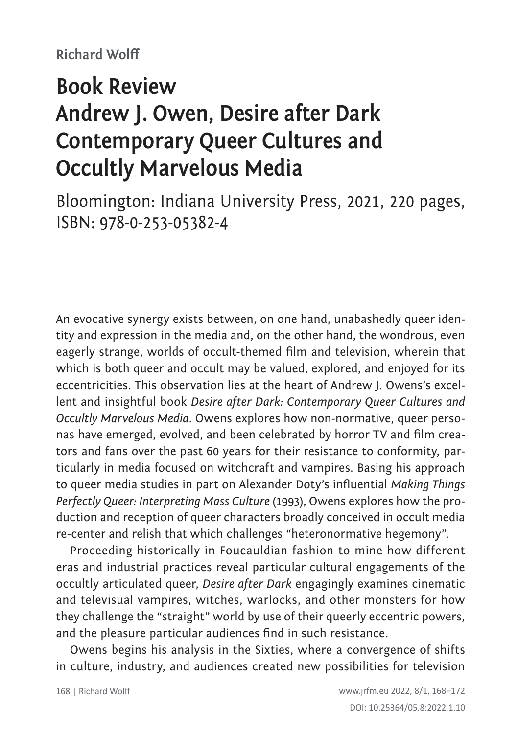## **Book Review Andrew J. Owen, Desire after Dark Contemporary Queer Cultures and Occultly Marvelous Media**

Bloomington: Indiana University Press, 2021, 220 pages, ISBN: 978-0-253-05382-4

An evocative synergy exists between, on one hand, unabashedly queer identity and expression in the media and, on the other hand, the wondrous, even eagerly strange, worlds of occult-themed film and television, wherein that which is both queer and occult may be valued, explored, and enjoyed for its eccentricities. This observation lies at the heart of Andrew J. Owens's excellent and insightful book *Desire after Dark: Contemporary Queer Cultures and Occultly Marvelous Media*. Owens explores how non-normative, queer personas have emerged, evolved, and been celebrated by horror TV and film creators and fans over the past 60 years for their resistance to conformity, particularly in media focused on witchcraft and vampires. Basing his approach to queer media studies in part on Alexander Doty's influential *Making Things Perfectly Queer: Interpreting Mass Culture* (1993), Owens explores how the production and reception of queer characters broadly conceived in occult media re-center and relish that which challenges "heteronormative hegemony".

Proceeding historically in Foucauldian fashion to mine how different eras and industrial practices reveal particular cultural engagements of the occultly articulated queer, *Desire after Dark* engagingly examines cinematic and televisual vampires, witches, warlocks, and other monsters for how they challenge the "straight" world by use of their queerly eccentric powers, and the pleasure particular audiences find in such resistance.

Owens begins his analysis in the Sixties, where a convergence of shifts in culture, industry, and audiences created new possibilities for television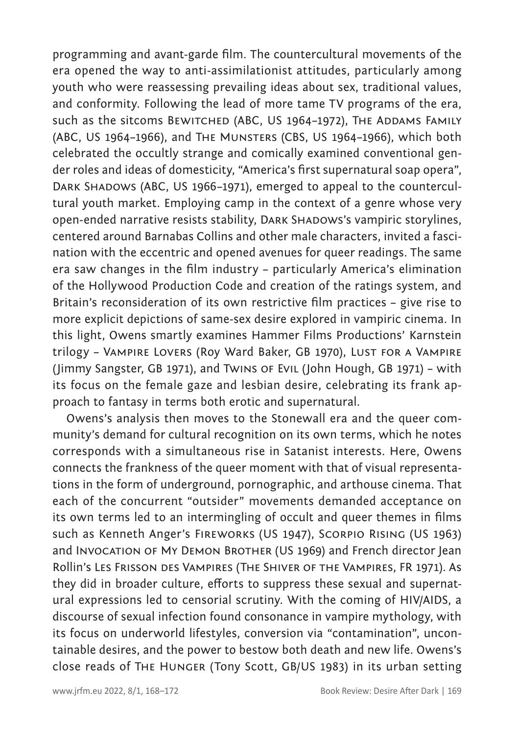programming and avant-garde film. The countercultural movements of the era opened the way to anti-assimilationist attitudes, particularly among youth who were reassessing prevailing ideas about sex, traditional values, and conformity. Following the lead of more tame TV programs of the era, such as the sitcoms BEWITCHED (ABC, US 1964-1972), THE ADDAMS FAMILY (ABC, US 1964–1966), and The Munsters (CBS, US 1964–1966), which both celebrated the occultly strange and comically examined conventional gender roles and ideas of domesticity, "America's first supernatural soap opera", DARK SHADOWS (ABC, US 1966-1971), emerged to appeal to the countercultural youth market. Employing camp in the context of a genre whose very open-ended narrative resists stability, DARK SHADOWS's vampiric storylines, centered around Barnabas Collins and other male characters, invited a fascination with the eccentric and opened avenues for queer readings. The same era saw changes in the film industry – particularly America's elimination of the Hollywood Production Code and creation of the ratings system, and Britain's reconsideration of its own restrictive film practices – give rise to more explicit depictions of same-sex desire explored in vampiric cinema. In this light, Owens smartly examines Hammer Films Productions' Karnstein trilogy - Vampire Lovers (Roy Ward Baker, GB 1970), LUST FOR A VAMPIRE (Jimmy Sangster, GB 1971), and Twins of Evil (John Hough, GB 1971) – with its focus on the female gaze and lesbian desire, celebrating its frank approach to fantasy in terms both erotic and supernatural.

Owens's analysis then moves to the Stonewall era and the queer community's demand for cultural recognition on its own terms, which he notes corresponds with a simultaneous rise in Satanist interests. Here, Owens connects the frankness of the queer moment with that of visual representations in the form of underground, pornographic, and arthouse cinema. That each of the concurrent "outsider" movements demanded acceptance on its own terms led to an intermingling of occult and queer themes in films such as Kenneth Anger's Fireworks (US 1947), Scorpio Rising (US 1963) and Invocation of My DEMON BROTHER (US 1969) and French director Jean Rollin's Les Frisson des Vampires (The Shiver of the Vampires, FR 1971). As they did in broader culture, efforts to suppress these sexual and supernatural expressions led to censorial scrutiny. With the coming of HIV/AIDS, a discourse of sexual infection found consonance in vampire mythology, with its focus on underworld lifestyles, conversion via "contamination", uncontainable desires, and the power to bestow both death and new life. Owens's close reads of The Hunger (Tony Scott, GB/US 1983) in its urban setting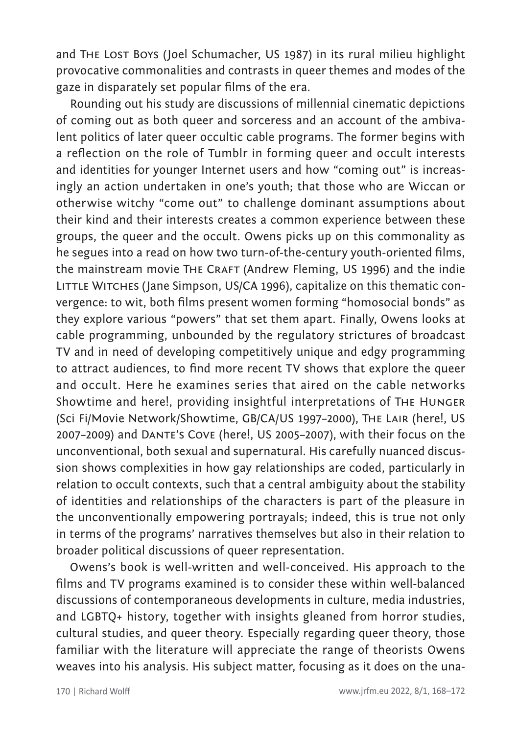and THE LOST BOYS (Joel Schumacher, US 1987) in its rural milieu highlight provocative commonalities and contrasts in queer themes and modes of the gaze in disparately set popular films of the era.

Rounding out his study are discussions of millennial cinematic depictions of coming out as both queer and sorceress and an account of the ambivalent politics of later queer occultic cable programs. The former begins with a reflection on the role of Tumblr in forming queer and occult interests and identities for younger Internet users and how "coming out" is increasingly an action undertaken in one's youth; that those who are Wiccan or otherwise witchy "come out" to challenge dominant assumptions about their kind and their interests creates a common experience between these groups, the queer and the occult. Owens picks up on this commonality as he segues into a read on how two turn-of-the-century youth-oriented films, the mainstream movie THE CRAFT (Andrew Fleming, US 1996) and the indie LITTLE WITCHES (Jane Simpson, US/CA 1996), capitalize on this thematic convergence: to wit, both films present women forming "homosocial bonds" as they explore various "powers" that set them apart. Finally, Owens looks at cable programming, unbounded by the regulatory strictures of broadcast TV and in need of developing competitively unique and edgy programming to attract audiences, to find more recent TV shows that explore the queer and occult. Here he examines series that aired on the cable networks Showtime and here!, providing insightful interpretations of The Hunger (Sci Fi/Movie Network/Showtime, GB/CA/US 1997–2000), The Lair (here!, US 2007–2009) and Dante's Cove (here!, US 2005–2007), with their focus on the unconventional, both sexual and supernatural. His carefully nuanced discussion shows complexities in how gay relationships are coded, particularly in relation to occult contexts, such that a central ambiguity about the stability of identities and relationships of the characters is part of the pleasure in the unconventionally empowering portrayals; indeed, this is true not only in terms of the programs' narratives themselves but also in their relation to broader political discussions of queer representation.

Owens's book is well-written and well-conceived. His approach to the films and TV programs examined is to consider these within well-balanced discussions of contemporaneous developments in culture, media industries, and LGBTQ+ history, together with insights gleaned from horror studies, cultural studies, and queer theory. Especially regarding queer theory, those familiar with the literature will appreciate the range of theorists Owens weaves into his analysis. His subject matter, focusing as it does on the una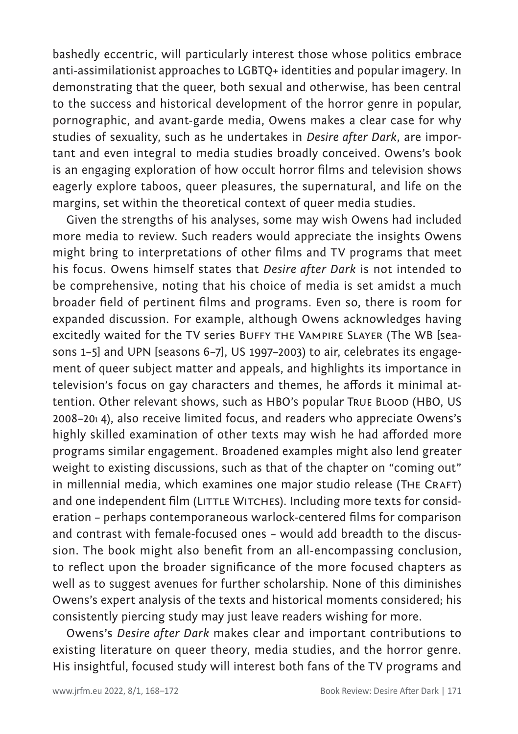bashedly eccentric, will particularly interest those whose politics embrace anti-assimilationist approaches to LGBTQ+ identities and popular imagery. In demonstrating that the queer, both sexual and otherwise, has been central to the success and historical development of the horror genre in popular, pornographic, and avant-garde media, Owens makes a clear case for why studies of sexuality, such as he undertakes in *Desire after Dark*, are important and even integral to media studies broadly conceived. Owens's book is an engaging exploration of how occult horror films and television shows eagerly explore taboos, queer pleasures, the supernatural, and life on the margins, set within the theoretical context of queer media studies.

Given the strengths of his analyses, some may wish Owens had included more media to review. Such readers would appreciate the insights Owens might bring to interpretations of other films and TV programs that meet his focus. Owens himself states that *Desire after Dark* is not intended to be comprehensive, noting that his choice of media is set amidst a much broader field of pertinent films and programs. Even so, there is room for expanded discussion. For example, although Owens acknowledges having excitedly waited for the TV series BUFFY THE VAMPIRE SLAYER (The WB [seasons 1–5] and UPN [seasons 6–7], US 1997–2003) to air, celebrates its engagement of queer subject matter and appeals, and highlights its importance in television's focus on gay characters and themes, he affords it minimal attention. Other relevant shows, such as HBO's popular TRUE BLOOD (HBO, US 2008–201 4), also receive limited focus, and readers who appreciate Owens's highly skilled examination of other texts may wish he had afforded more programs similar engagement. Broadened examples might also lend greater weight to existing discussions, such as that of the chapter on "coming out" in millennial media, which examines one major studio release (THE CRAFT) and one independent film (LITTLE WITCHES). Including more texts for consideration – perhaps contemporaneous warlock-centered films for comparison and contrast with female-focused ones – would add breadth to the discussion. The book might also benefit from an all-encompassing conclusion, to reflect upon the broader significance of the more focused chapters as well as to suggest avenues for further scholarship. None of this diminishes Owens's expert analysis of the texts and historical moments considered; his consistently piercing study may just leave readers wishing for more.

Owens's *Desire after Dark* makes clear and important contributions to existing literature on queer theory, media studies, and the horror genre. His insightful, focused study will interest both fans of the TV programs and